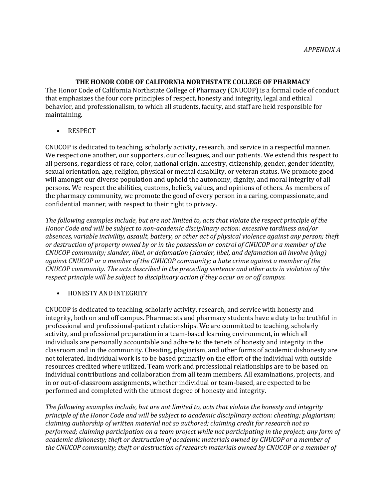**THE HONOR CODE OF CALIFORNIA NORTHSTATE COLLEGE OF PHARMACY**

The Honor Code of California Northstate College of Pharmacy (CNUCOP) is a formal code of conduct that emphasizes the four core principles of respect, honesty and integrity, legal and ethical behavior, and professionalism, to which all students, faculty, and staff are held responsible for maintaining.

• RESPECT

CNUCOP is dedicated to teaching, scholarly activity, research, and service in a respectful manner. We respect one another, our supporters, our colleagues, and our patients. We extend this respect to all persons, regardless of race, color, national origin, ancestry, citizenship, gender, gender identity, sexual orientation, age, religion, physical or mental disability, or veteran status. We promote good will amongst our diverse population and uphold the autonomy, dignity, and moral integrity of all persons. We respect the abilities, customs, beliefs, values, and opinions of others. As members of the pharmacy community, we promote the good of every person in a caring, compassionate, and confidential manner, with respect to their right to privacy.

*The following examples include, but are not limited to, acts that violate the respect principle of the Honor Code and will be subject to non-academic disciplinary action: excessive tardiness and/or absences, variable incivility, assault, battery, or other act of physical violence against any person; theft or destruction of property owned by or in the possession or control of CNUCOP or a member of the CNUCOP community; slander, libel, or defamation (slander, libel, and defamation all involve lying) against CNUCOP or a member of the CNUCOP community; a hate crime against a member of the CNUCOP community. The acts described in the preceding sentence and other acts in violation of the respect principle will be subject to disciplinary action if they occur on or off campus.*

#### • HONESTY AND INTEGRITY

CNUCOP is dedicated to teaching, scholarly activity, research, and service with honesty and integrity, both on and off campus. Pharmacists and pharmacy students have a duty to be truthful in professional and professional-patient relationships. We are committed to teaching, scholarly activity, and professional preparation in a team-based learning environment, in which all individuals are personally accountable and adhere to the tenets of honesty and integrity in the classroom and in the community. Cheating, plagiarism, and other forms of academic dishonesty are not tolerated. Individual work is to be based primarily on the effort of the individual with outside resources credited where utilized. Team work and professional relationships are to be based on individual contributions and collaboration from all team members. All examinations, projects, and in or out-of-classroom assignments, whether individual or team-based, are expected to be performed and completed with the utmost degree of honesty and integrity.

*The following examples include, but are not limited to, acts that violate the honesty and integrity principle of the Honor Code and will be subject to academic disciplinary action: cheating; plagiarism; claiming authorship of written material not so authored; claiming credit for research not so performed; claiming participation on a team project while not participating in the project; any form of academic dishonesty; theft or destruction of academic materials owned by CNUCOP or a member of the CNUCOP community; theft or destruction of research materials owned by CNUCOP or a member of*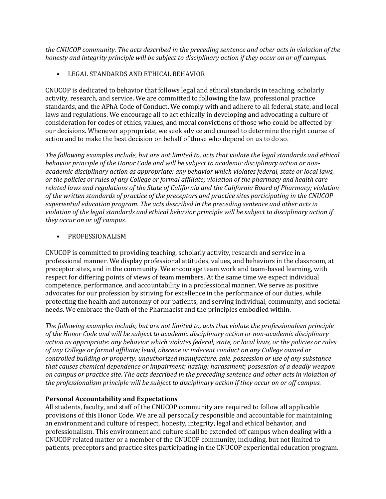*the CNUCOP community. The acts described in the preceding sentence and other acts in violation of the honesty and integrity principle will be subject to disciplinary action if they occur on or off campus.*

• LEGAL STANDARDS AND ETHICAL BEHAVIOR

CNUCOP is dedicated to behavior that follows legal and ethical standards in teaching, scholarly activity, research, and service. We are committed to following the law, professional practice standards, and the APhA Code of Conduct. We comply with and adhere to all federal, state, and local laws and regulations. We encourage all to act ethically in developing and advocating a culture of consideration for codes of ethics, values, and moral convictions of those who could be affected by our decisions. Whenever appropriate, we seek advice and counsel to determine the right course of action and to make the best decision on behalf of those who depend on us to do so.

*The following examples include, but are not limited to, acts that violate the legal standards and ethical behavior principle of the Honor Code and will be subject to academic disciplinary action or nonacademic disciplinary action as appropriate: any behavior which violates federal, state or local laws, or the policies or rules of any College or formal affiliate; violation of the pharmacy and health care related laws and regulations of the State of California and the California Board of Pharmacy; violation of the written standards of practice of the preceptors and practice sites participating in the CNUCOP experiential education program. The acts described in the preceding sentence and other acts in violation of the legal standards and ethical behavior principle will be subject to disciplinary action if they occur on or off campus.*

#### • PROFESSIONALISM

CNUCOP is committed to providing teaching, scholarly activity, research and service in a professional manner. We display professional attitudes, values, and behaviors in the classroom, at preceptor sites, and in the community. We encourage team work and team-based learning, with respect for differing points of views of team members. At the same time we expect individual competence, performance, and accountability in a professional manner. We serve as positive advocates for our profession by striving for excellence in the performance of our duties, while protecting the health and autonomy of our patients, and serving individual, community, and societal needs. We embrace the Oath of the Pharmacist and the principles embodied within.

*The following examples include, but are not limited to, acts that violate the professionalism principle of the Honor Code and will be subject to academic disciplinary action or non-academic disciplinary action as appropriate: any behavior which violates federal, state, or local laws, or the policies or rules of any College or formal affiliate; lewd, obscene or indecent conduct on any College owned or controlled building or property; unauthorized manufacture, sale, possession or use of any substance that causes chemical dependence or impairment; hazing; harassment; possession of a deadly weapon on campus or practice site. The acts described in the preceding sentence and other acts in violation of the professionalism principle will be subject to disciplinary action if they occur on or off campus.*

# **Personal Accountability and Expectations**

All students, faculty, and staff of the CNUCOP community are required to follow all applicable provisions of this Honor Code. We are all personally responsible and accountable for maintaining an environment and culture of respect, honesty, integrity, legal and ethical behavior, and professionalism. This environment and culture shall be extended off campus when dealing with a CNUCOP related matter or a member of the CNUCOP community, including, but not limited to patients, preceptors and practice sites participating in the CNUCOP experiential education program.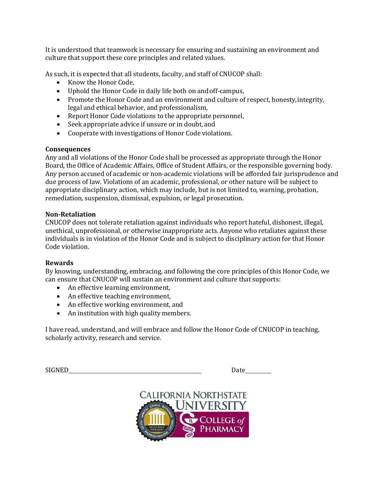It is understood that teamwork is necessary for ensuring and sustaining an environment and culture that support these core principles and related values.

As such, it is expected that all students, faculty, and staff of CNUCOP shall:

- Know the Honor Code,
- Uphold the Honor Code in daily life both on and off-campus,
- Promote the Honor Code and an environment and culture of respect, honesty, integrity, legal and ethical behavior, and professionalism,
- Report Honor Code violations to the appropriate personnel,
- Seek appropriate advice if unsure or in doubt, and
- Cooperate with investigations of Honor Code violations.

### **Consequences**

Any and all violations of the Honor Code shall be processed as appropriate through the Honor Board, the Office of Academic Affairs, Office of Student Affairs, or the responsible governing body. Any person accused of academic or non-academic violations will be afforded fair jurisprudence and due process of law. Violations of an academic, professional, or other nature will be subject to appropriate disciplinary action, which may include, but is not limited to, warning, probation, remediation, suspension, dismissal, expulsion, or legal prosecution.

### **Non-Retaliation**

CNUCOP does not tolerate retaliation against individuals who report hateful, dishonest, illegal, unethical, unprofessional, or otherwise inappropriate acts. Anyone who retaliates against these individuals is in violation of the Honor Code and is subject to disciplinary action for that Honor Code violation.

# **Rewards**

By knowing, understanding, embracing, and following the core principles of this Honor Code, we can ensure that CNUCOP will sustain an environment and culture that supports:

- An effective learning environment,
- An effective teaching environment,
- An effective working environment, and
- An institution with high quality members.

I have read, understand, and will embrace and follow the Honor Code of CNUCOP in teaching, scholarly activity, research and service.

| <b>SIGNED</b> | ıtΩ<br>Jale |
|---------------|-------------|
|               |             |

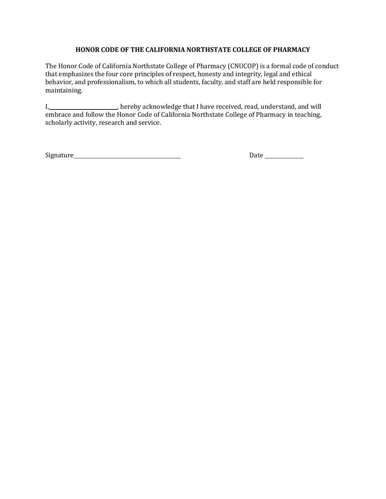## **HONOR CODE OF THE CALIFORNIA NORTHSTATE COLLEGE OF PHARMACY**

The Honor Code of California Northstate College of Pharmacy (CNUCOP) is a formal code of conduct that emphasizes the four core principles of respect, honesty and integrity, legal and ethical behavior, and professionalism, to which all students, faculty, and staff are held responsible for maintaining.

I, 1. 1. 1. hereby acknowledge that I have received, read, understand, and will embrace and follow the Honor Code of California Northstate College of Pharmacy in teaching, scholarly activity, research and service.

Signature Date